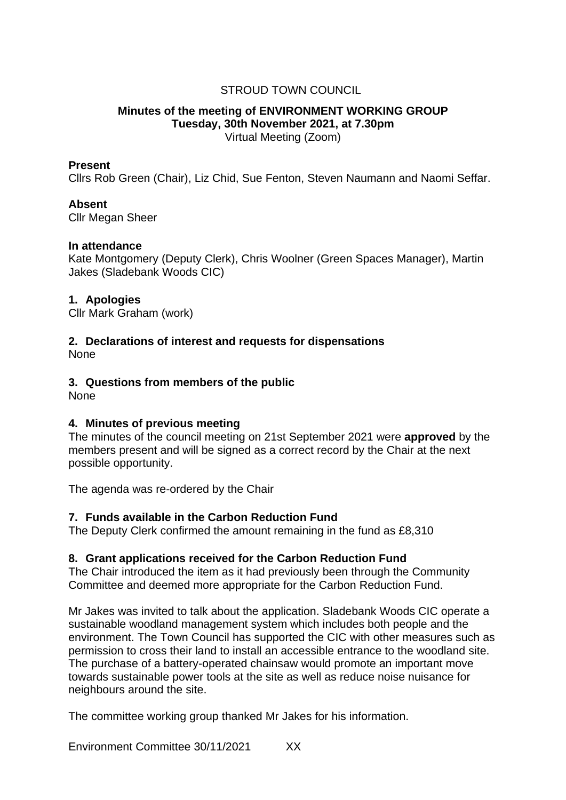# STROUD TOWN COUNCIL

#### **Minutes of the meeting of ENVIRONMENT WORKING GROUP Tuesday, 30th November 2021, at 7.30pm** Virtual Meeting (Zoom)

#### **Present**

Cllrs Rob Green (Chair), Liz Chid, Sue Fenton, Steven Naumann and Naomi Seffar.

## **Absent**

Cllr Megan Sheer

#### **In attendance**

Kate Montgomery (Deputy Clerk), Chris Woolner (Green Spaces Manager), Martin Jakes (Sladebank Woods CIC)

#### **1. Apologies**

Cllr Mark Graham (work)

#### **2. Declarations of interest and requests for dispensations None**

## **3. Questions from members of the public**

None

## **4. Minutes of previous meeting**

The minutes of the council meeting on 21st September 2021 were **approved** by the members present and will be signed as a correct record by the Chair at the next possible opportunity.

The agenda was re-ordered by the Chair

## **7. Funds available in the Carbon Reduction Fund**

The Deputy Clerk confirmed the amount remaining in the fund as £8,310

## **8. Grant applications received for the Carbon Reduction Fund**

The Chair introduced the item as it had previously been through the Community Committee and deemed more appropriate for the Carbon Reduction Fund.

Mr Jakes was invited to talk about the application. Sladebank Woods CIC operate a sustainable woodland management system which includes both people and the environment. The Town Council has supported the CIC with other measures such as permission to cross their land to install an accessible entrance to the woodland site. The purchase of a battery-operated chainsaw would promote an important move towards sustainable power tools at the site as well as reduce noise nuisance for neighbours around the site.

The committee working group thanked Mr Jakes for his information.

Environment Committee 30/11/2021 XX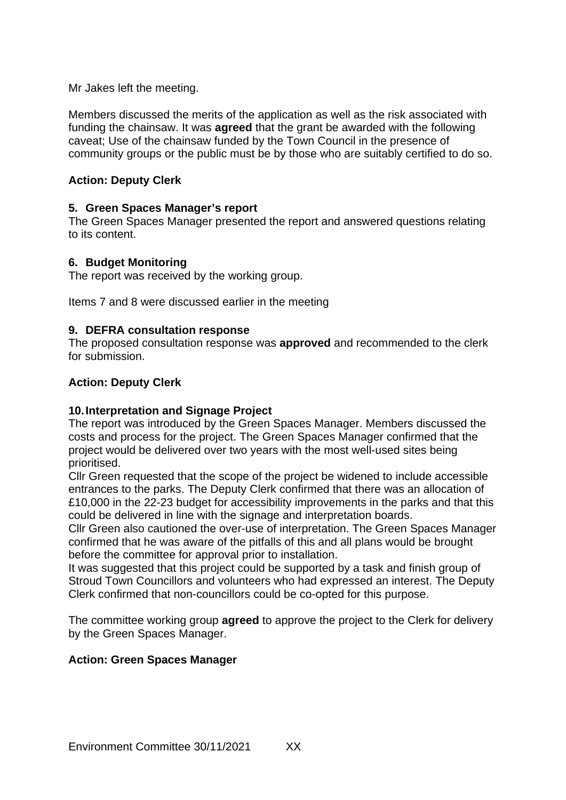Mr Jakes left the meeting.

Members discussed the merits of the application as well as the risk associated with funding the chainsaw. It was **agreed** that the grant be awarded with the following caveat; Use of the chainsaw funded by the Town Council in the presence of community groups or the public must be by those who are suitably certified to do so.

# **Action: Deputy Clerk**

## **5. Green Spaces Manager's report**

The Green Spaces Manager presented the report and answered questions relating to its content.

## **6. Budget Monitoring**

The report was received by the working group.

Items 7 and 8 were discussed earlier in the meeting

## **9. DEFRA consultation response**

The proposed consultation response was **approved** and recommended to the clerk for submission.

## **Action: Deputy Clerk**

## **10.Interpretation and Signage Project**

The report was introduced by the Green Spaces Manager. Members discussed the costs and process for the project. The Green Spaces Manager confirmed that the project would be delivered over two years with the most well-used sites being prioritised.

Cllr Green requested that the scope of the project be widened to include accessible entrances to the parks. The Deputy Clerk confirmed that there was an allocation of £10,000 in the 22-23 budget for accessibility improvements in the parks and that this could be delivered in line with the signage and interpretation boards.

Cllr Green also cautioned the over-use of interpretation. The Green Spaces Manager confirmed that he was aware of the pitfalls of this and all plans would be brought before the committee for approval prior to installation.

It was suggested that this project could be supported by a task and finish group of Stroud Town Councillors and volunteers who had expressed an interest. The Deputy Clerk confirmed that non-councillors could be co-opted for this purpose.

The committee working group **agreed** to approve the project to the Clerk for delivery by the Green Spaces Manager.

## **Action: Green Spaces Manager**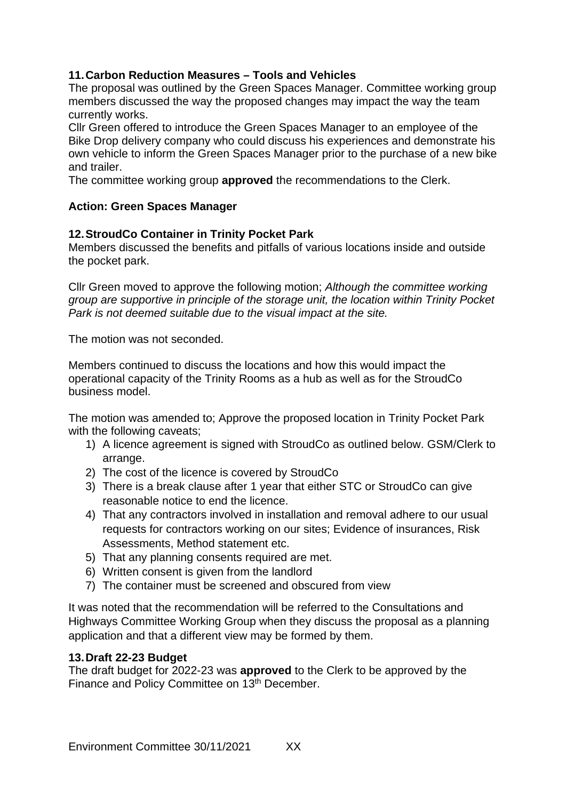# **11.Carbon Reduction Measures – Tools and Vehicles**

The proposal was outlined by the Green Spaces Manager. Committee working group members discussed the way the proposed changes may impact the way the team currently works.

Cllr Green offered to introduce the Green Spaces Manager to an employee of the Bike Drop delivery company who could discuss his experiences and demonstrate his own vehicle to inform the Green Spaces Manager prior to the purchase of a new bike and trailer.

The committee working group **approved** the recommendations to the Clerk.

# **Action: Green Spaces Manager**

## **12.StroudCo Container in Trinity Pocket Park**

Members discussed the benefits and pitfalls of various locations inside and outside the pocket park.

Cllr Green moved to approve the following motion; *Although the committee working group are supportive in principle of the storage unit, the location within Trinity Pocket Park is not deemed suitable due to the visual impact at the site.* 

The motion was not seconded.

Members continued to discuss the locations and how this would impact the operational capacity of the Trinity Rooms as a hub as well as for the StroudCo business model.

The motion was amended to; Approve the proposed location in Trinity Pocket Park with the following caveats;

- 1) A licence agreement is signed with StroudCo as outlined below. GSM/Clerk to arrange.
- 2) The cost of the licence is covered by StroudCo
- 3) There is a break clause after 1 year that either STC or StroudCo can give reasonable notice to end the licence.
- 4) That any contractors involved in installation and removal adhere to our usual requests for contractors working on our sites; Evidence of insurances, Risk Assessments, Method statement etc.
- 5) That any planning consents required are met.
- 6) Written consent is given from the landlord
- 7) The container must be screened and obscured from view

It was noted that the recommendation will be referred to the Consultations and Highways Committee Working Group when they discuss the proposal as a planning application and that a different view may be formed by them.

## **13.Draft 22-23 Budget**

The draft budget for 2022-23 was **approved** to the Clerk to be approved by the Finance and Policy Committee on 13th December.